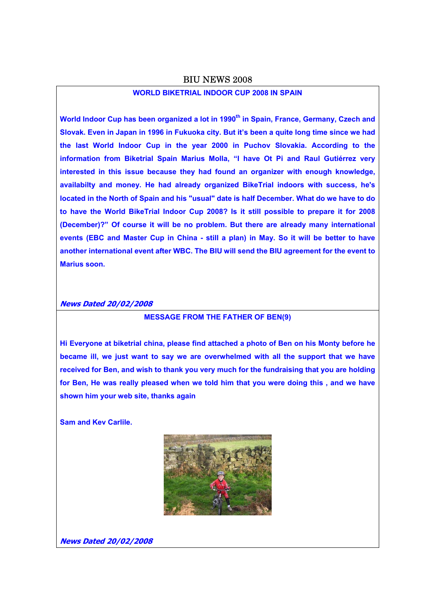## BIU NEWS 2008

# **WORLD BIKETRIAL INDOOR CUP 2008 IN SPAIN**

World Indoor Cup has been organized a lot in 1990<sup>th</sup> in Spain, France, Germany, Czech and **Slovak. Even in Japan in 1996 in Fukuoka city. But it's been a quite long time since we had the last World Indoor Cup in the year 2000 in Puchov Slovakia. According to the information from Biketrial Spain Marius Molla, "I have Ot Pi and Raul Gutiérrez very interested in this issue because they had found an organizer with enough knowledge, availabilty and money. He had already organized BikeTrial indoors with success, he's located in the North of Spain and his "usual" date is half December. What do we have to do to have the World BikeTrial Indoor Cup 2008? Is it still possible to prepare it for 2008 (December)?" Of course it will be no problem. But there are already many international events (EBC and Master Cup in China - still a plan) in May. So it will be better to have another international event after WBC. The BIU will send the BIU agreement for the event to Marius soon.** 

#### **News Dated 20/02/2008**

# **MESSAGE FROM THE FATHER OF BEN(9)**

**Hi Everyone at biketrial china, please find attached a photo of Ben on his Monty before he became ill, we just want to say we are overwhelmed with all the support that we have received for Ben, and wish to thank you very much for the fundraising that you are holding for Ben, He was really pleased when we told him that you were doing this , and we have shown him your web site, thanks again** 

**Sam and Kev Carlile.** 



**News Dated 20/02/2008**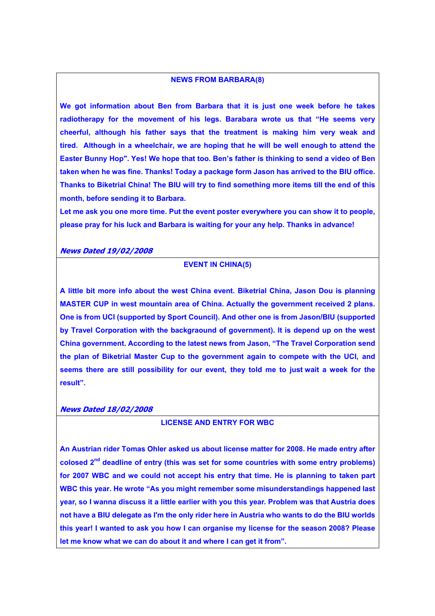### **NEWS FROM BARBARA(8)**

**We got information about Ben from Barbara that it is just one week before he takes radiotherapy for the movement of his legs. Barabara wrote us that "He seems very cheerful, although his father says that the treatment is making him very weak and tired. Although in a wheelchair, we are hoping that he will be well enough to attend the Easter Bunny Hop". Yes! We hope that too. Ben's father is thinking to send a video of Ben taken when he was fine. Thanks! Today a package form Jason has arrived to the BIU office. Thanks to Biketrial China! The BIU will try to find something more items till the end of this month, before sending it to Barbara.** 

**Let me ask you one more time. Put the event poster everywhere you can show it to people, please pray for his luck and Barbara is waiting for your any help. Thanks in advance!** 

#### **News Dated 19/02/2008**

## **EVENT IN CHINA(5)**

**A little bit more info about the west China event. Biketrial China, Jason Dou is planning MASTER CUP in west mountain area of China. Actually the government received 2 plans. One is from UCI (supported by Sport Council). And other one is from Jason/BIU (supported by Travel Corporation with the backgraound of government). It is depend up on the west China government. According to the latest news from Jason, "The Travel Corporation send the plan of Biketrial Master Cup to the government again to compete with the UCI, and seems there are still possibility for our event, they told me to just wait a week for the result".** 

#### **News Dated 18/02/2008**

# **LICENSE AND ENTRY FOR WBC**

**An Austrian rider Tomas Ohler asked us about license matter for 2008. He made entry after colosed 2nd deadline of entry (this was set for some countries with some entry problems) for 2007 WBC and we could not accept his entry that time. He is planning to taken part WBC this year. He wrote "As you might remember some misunderstandings happened last year, so I wanna discuss it a little earlier with you this year. Problem was that Austria does not have a BIU delegate as I'm the only rider here in Austria who wants to do the BIU worlds this year! I wanted to ask you how I can organise my license for the season 2008? Please let me know what we can do about it and where I can get it from".**